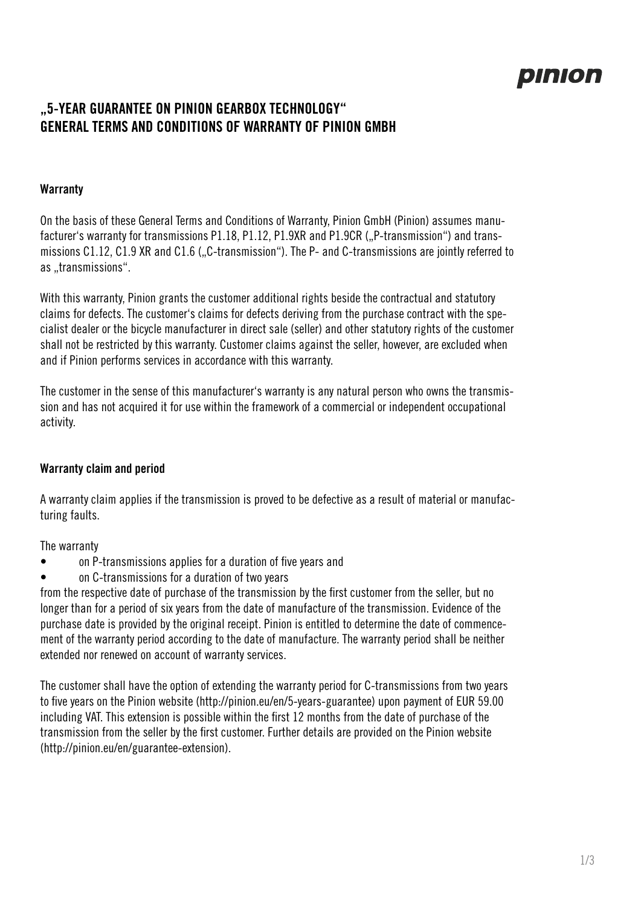# pinion

# **"5-YEAR GUARANTEE ON PINION GEARBOX TECHNOLOGY" GENERAL TERMS AND CONDITIONS OF WARRANTY OF PINION GMBH**

# **Warranty**

On the basis of these General Terms and Conditions of Warranty, Pinion GmbH (Pinion) assumes manufacturer's warranty for transmissions P1.18, P1.12, P1.9XR and P1.9CR ("P-transmission") and transmissions C1.12, C1.9 XR and C1.6 ("C-transmission"). The P- and C-transmissions are jointly referred to as ..transmissions".

With this warranty, Pinion grants the customer additional rights beside the contractual and statutory claims for defects. The customer's claims for defects deriving from the purchase contract with the specialist dealer or the bicycle manufacturer in direct sale (seller) and other statutory rights of the customer shall not be restricted by this warranty. Customer claims against the seller, however, are excluded when and if Pinion performs services in accordance with this warranty.

The customer in the sense of this manufacturer's warranty is any natural person who owns the transmission and has not acquired it for use within the framework of a commercial or independent occupational activity.

#### **Warranty claim and period**

A warranty claim applies if the transmission is proved to be defective as a result of material or manufacturing faults.

The warranty

- on P-transmissions applies for a duration of five years and
- on C-transmissions for a duration of two years

from the respective date of purchase of the transmission by the first customer from the seller, but no longer than for a period of six years from the date of manufacture of the transmission. Evidence of the purchase date is provided by the original receipt. Pinion is entitled to determine the date of commencement of the warranty period according to the date of manufacture. The warranty period shall be neither extended nor renewed on account of warranty services.

The customer shall have the option of extending the warranty period for C-transmissions from two years to five years on the Pinion website (http://pinion.eu/en/5-years-guarantee) upon payment of EUR 59.00 including VAT. This extension is possible within the first 12 months from the date of purchase of the transmission from the seller by the first customer. Further details are provided on the Pinion website (http://pinion.eu/en/guarantee-extension).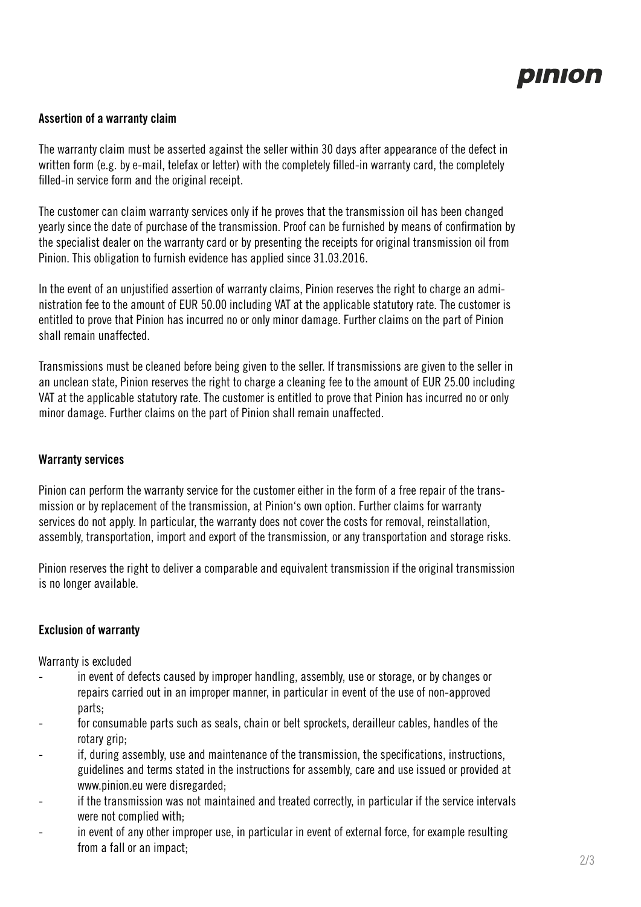

#### **Assertion of a warranty claim**

The warranty claim must be asserted against the seller within 30 days after appearance of the defect in written form (e.g. by e-mail, telefax or letter) with the completely filled-in warranty card, the completely filled-in service form and the original receipt.

The customer can claim warranty services only if he proves that the transmission oil has been changed yearly since the date of purchase of the transmission. Proof can be furnished by means of confirmation by the specialist dealer on the warranty card or by presenting the receipts for original transmission oil from Pinion. This obligation to furnish evidence has applied since 31.03.2016.

In the event of an unjustified assertion of warranty claims, Pinion reserves the right to charge an administration fee to the amount of EUR 50.00 including VAT at the applicable statutory rate. The customer is entitled to prove that Pinion has incurred no or only minor damage. Further claims on the part of Pinion shall remain unaffected.

Transmissions must be cleaned before being given to the seller. If transmissions are given to the seller in an unclean state, Pinion reserves the right to charge a cleaning fee to the amount of EUR 25.00 including VAT at the applicable statutory rate. The customer is entitled to prove that Pinion has incurred no or only minor damage. Further claims on the part of Pinion shall remain unaffected.

#### **Warranty services**

Pinion can perform the warranty service for the customer either in the form of a free repair of the transmission or by replacement of the transmission, at Pinion's own option. Further claims for warranty services do not apply. In particular, the warranty does not cover the costs for removal, reinstallation, assembly, transportation, import and export of the transmission, or any transportation and storage risks.

Pinion reserves the right to deliver a comparable and equivalent transmission if the original transmission is no longer available.

#### **Exclusion of warranty**

Warranty is excluded

- in event of defects caused by improper handling, assembly, use or storage, or by changes or repairs carried out in an improper manner, in particular in event of the use of non-approved parts;
- for consumable parts such as seals, chain or belt sprockets, derailleur cables, handles of the rotary grip;
- if, during assembly, use and maintenance of the transmission, the specifications, instructions, guidelines and terms stated in the instructions for assembly, care and use issued or provided at www.pinion.eu were disregarded;
- if the transmission was not maintained and treated correctly, in particular if the service intervals were not complied with;
- in event of any other improper use, in particular in event of external force, for example resulting from a fall or an impact;